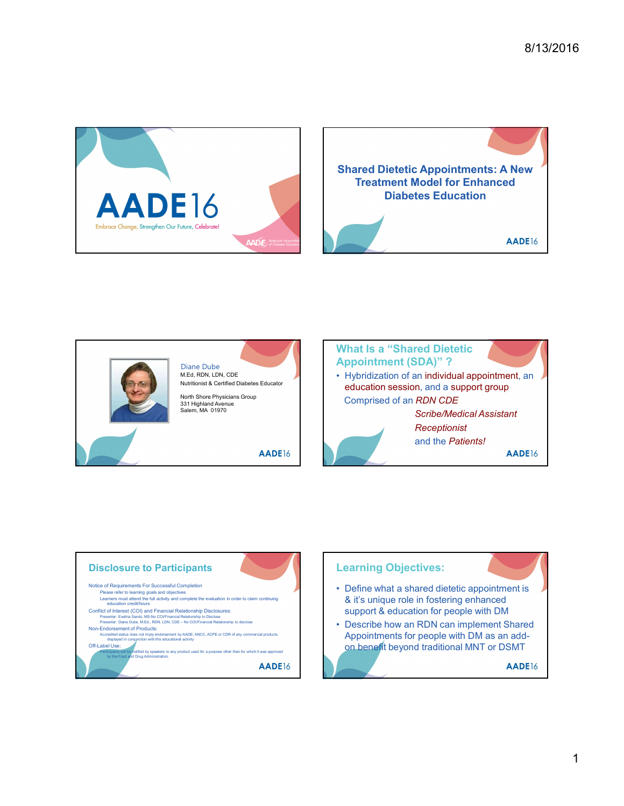





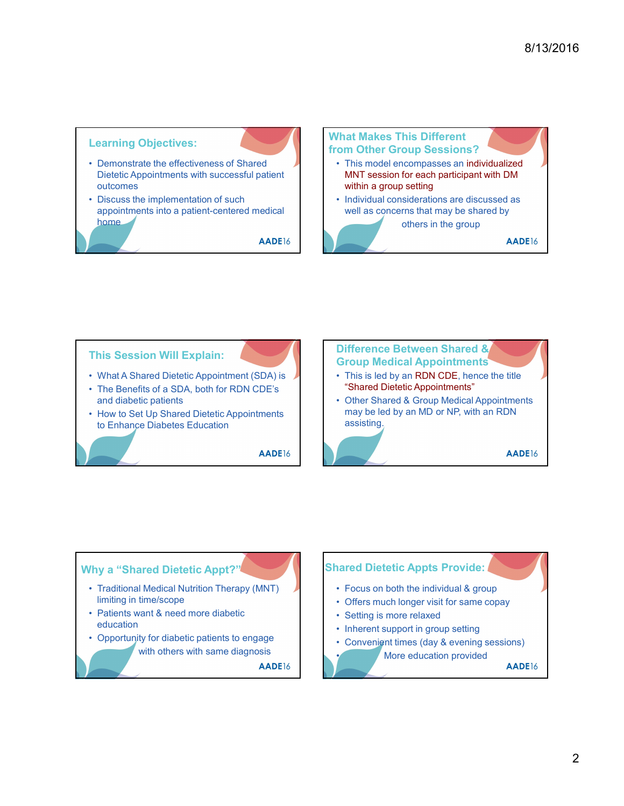





- 
- education
- with others with same diagnosis

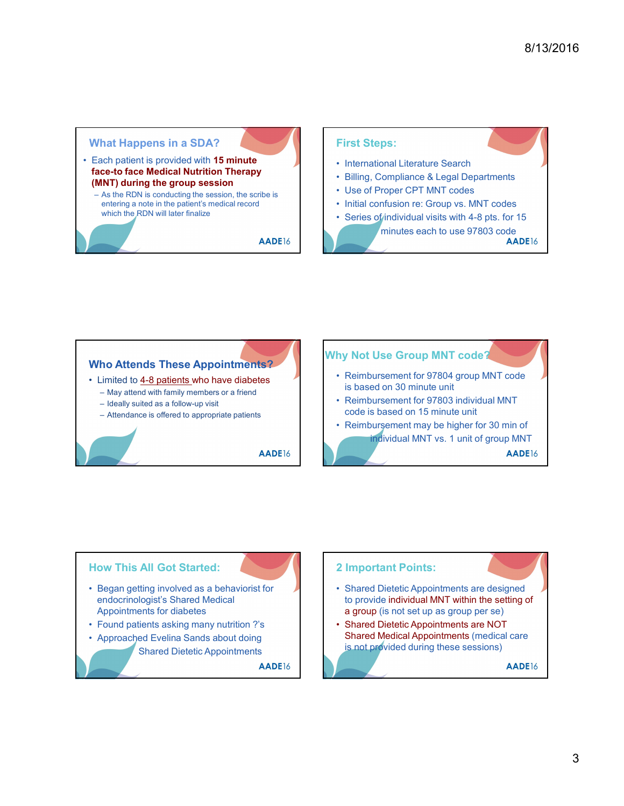# What Happens in a SDA? What Happens in a SDA?<br>
• Each patient is provided with 15 minute<br>
face-to face Medical Nutrition Therapy<br>
— As the RDN is conducting the session, the scribe is<br>
— As the RDN will later finalize<br>
— Which the RDN will later Each patient is provided with 15 minute<br>
face-to face Medical Nutrition Therapy<br>
Silling, Compliance & Legal Departments (MNT) during the group session Vhat Happens in a SDA?<br>
Each patient is provided with 15 minute<br>
ace-to face Medical Nutrition Therapy<br>
MNT) during the group session, the scribe is<br>
entering a note in the patient's medical record<br>
which the RDN will late entering a note in the patient's medical record **and the set of the limitial confusion re: Group vs. MNT codes** which the RDN will later finalize **Series of individual visits with 4-8 pts.** for 15

### First Steps:

- 
- 
- 
- 

8/13/2016<br>
First Steps:<br>
• International Literature Search<br>
• Billing, Compliance & Legal Departments<br>
• Use of Proper CPT MNT codes<br>
• Initial confusion re: Group vs. MNT codes<br>
• Series of individual visits with 4-8 pts. 8/13/2016<br>
• International Literature Search<br>
• Billing, Compliance & Legal Departments<br>
• Use of Proper CPT MNT codes<br>
• Initial confusion re: Group vs. MNT codes<br>
• Series of individual visits with 4-8 pts. for 15<br>
minut 8/13/2016<br>
• International Literature Search<br>
• Billing, Compliance & Legal Departments<br>
• Use of Proper CPT MNT codes<br>
• Initial confusion re: Group vs. MNT codes<br>
• Series of individual visits with 4-8 pts. for 15<br>
minut 8/13/2016<br>
• International Literature Search<br>
• Billing, Compliance & Legal Departments<br>
• Use of Proper CPT MNT codes<br>
• Initial confusion re: Group vs. MNT codes<br>
• Series of individual visits with 4-8 pts. for 15<br>
minut 8/13/2016<br>
• Silling, Compliance & Legal Departments<br>
• Billing, Compliance & Legal Departments<br>
• Use of Proper CPT MNT codes<br>
• Initial confusion re: Group vs. MNT codes<br>
• Series of individual visits with 4-8 pts. for 1 minutes each to use 97803 code<br>AADE16

## Who Attends These Appointments?<br>
. I imited to 4.8 potients who have dishates<br>
. Reimbursement for 97804 group MNT code What Happens in a SDA?<br>
First Steps:<br>
ace-to face Medical Nutrition Therapy<br>
(MNT) during the group session<br>
As the RNN will later finalize<br>
enting a nots in the patient's medical record<br>
enting a nots in the patient's hat Happens in a SDA?<br>
Such patient is provided with **15 minute**<br> **Example 10 minute**<br>
ANT) during the group session, the scribe is<br>
ADE16<br>
ADE16<br>
ADE16<br>
ADE16<br>
ADE16<br>
ADE16<br>
ADE16<br>
ADE16<br>
ADE16<br>
ADE16<br>
ADE16<br>
ADE16<br>
ADE16 First Steps:<br>
Cet o face Medicial Nurtflorid Therapy<br>
As he RDN is provided Muttion Therapy<br>
As he RDN will later finalize<br>
As he RDN will later finalize<br>
which the RDN will later finalize<br>
which the RDN will later finaliz Form of the Control of the Control of the Control of the Control of the Control of the Control of the Attendance is of the Sulfuse of the Sulfuse of the Attendance is which the PRDN will later finalize<br>
entering a note in Who Attends These Appointments<br>
- Limited to 4-8 patients who have diabetes<br>
- May attend win family members or a friend<br>
- Ideally suited as a follow-up visit<br>
- Attendance is offered to appropriate patients<br>
- AADE16<br>
- Who Attends These Appointments?<br>
- May attend the family wender by the combinement for secure the state of the state of the state of the state of the state of the state of the state of the state of the state of the state o • Limited to <u>4-8 patients</u> who have diabetes<br>
— May attend with family wembers or a friend<br>
— Ideally suited as a follow-up wisit<br>
— Attendance is offered to appropriate patients<br>
— Attendance is offered to appropriate pa Why Not Use Group MNT code? First Steps:<br>
• International Literature Search<br>
• Billing, Compliance & Legal Departments<br>
• Lite of Proper CPT MNT codes<br>
• Series of priority code views of the Spts. for 15<br>
• Minutes each to use 97803 code<br>
• AADE16<br>
• is based on 30 minute unit First Steps:<br>
• International Literature Search<br>
• Billing, Compliance & Legal Departments<br>
• Use of Proper CPT MNT codes<br>
• Initial confusion re: Group vs. MNT codes<br>
• Series of individual visits with 4-8 pts. for 15<br>
 code is based on 15 minute unit • International Literature Search<br>• Billing, Compliance & Legal Departments<br>• Use of Proper CPT MNT codes<br>• Series of individual visits with 4-8 pts. for 15<br>• Series of individual visits with 4-8 pts. for 15<br>minutes each t individual MNT vs. 1 unit of group MNT **FRACT SETT STARE COMPONER CONTROVER CONTROVER CONTROVER SUSPENDIES THE SUSPENDIES CONTROVER CONTROVER CONTROVER CONTROVER CONTROVER CONTROVER CONTROVER CONTROVER CONTROVER CONTROVER CONTROVER CONTROVER CONTROVER CONTROVER** Frambursement for 97804 group MNT code<br>
• Reimbursement for 97804 group MNT code<br>
• Shared on 15 minute unit<br>
• Reimbursement may be higher for 30 min of<br>
• Reimbursement may be higher for 30 min of<br>
• Individual MNT vs. 1

### How This All Got Started: endocrinologist's Shared Medical Appointments for diabetes Shared Dietetic Appointments

### 2 Important Points:

- to provide individual MNT within the setting of a group (is not set up as group per se)
- Shared Medical Appointments (medical care is not provided during these sessions)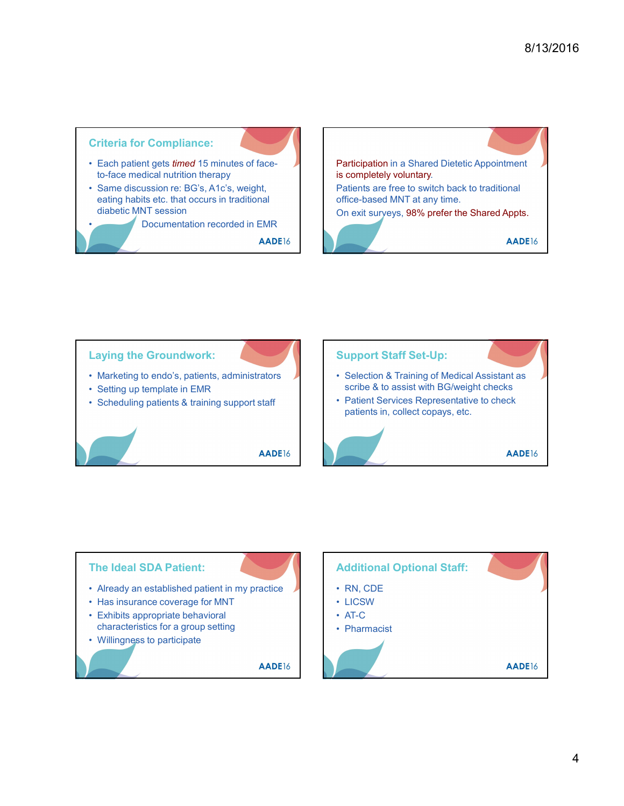



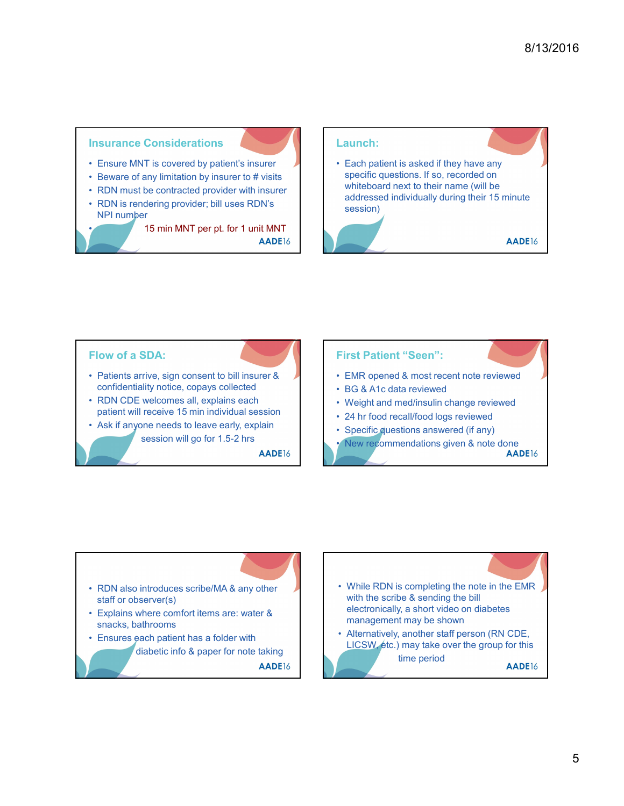#### Insurance Considerations

- 
- 
- 
- NPI number

• 15 min MNT per pt. for 1 unit MNT

# **Insurance Considerations**<br>
• Ensure MNT is covered by patient's insurer<br>
• Beware of any limitation by insurer to # visits<br>
• RDN must be contracted provider with insurer<br>
• RDN is rendering provider; bill uses RDN's<br>
• M **Example 19**<br>
• Ensure MNT is covered by patient's insurer<br>
• Beware of any limitation by insurer to # visits<br>
• RDN must be contracted provider with insurer<br>
• RDN is rendering provider; bill uses RDN's<br>
• RDN is renderin **Example 15 min MNT** per pt. for 1 unit MNT<br> **Example 10**<br>
• Reware of any limitation by insurer to # visits<br>
• RDN must be contracted provider with insurer<br>
• RDN is rendering provider; bill uses RDN's<br> **ADE16**<br>
• RDN is **EXECUTE IS A THE CONSIDERED AND ISLAM ISLAM ISLAM ISLAM ISLAM ISLAM ISLAM ISLAM ISLAM ISLAM ISLAM ISLAM ISLAM ISLAM ISLAM ISLAM ISLAM ISLAM ISLAM ISLAM ISLAM ISLAM ISLAM ISLAM ISLAM ISLAM ISLAM ISLAM ISLAM ISLAM ISLAM ISL** Launch: 8/13/2016<br>
Launch:<br>
• Each patient is asked if they have any<br>
specific questions. If so, recorded on<br>
whiteboard next to their name (will be<br>
addressed individually during their 15 minute<br>
session) specific questions. If so, recorded on whiteboard next to their name (will be addressed individually during their 15 minute session)



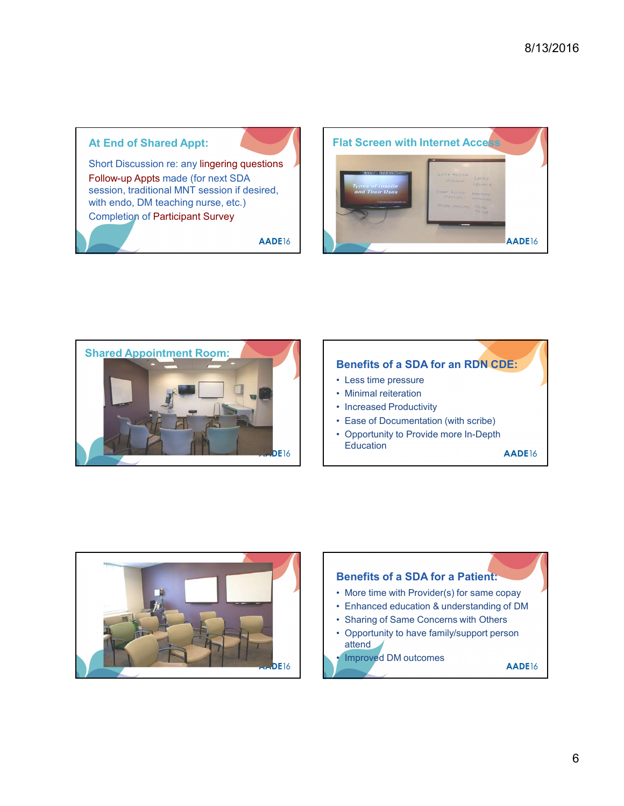#### At End of Shared Appt:

Short Discussion re: any lingering questions Follow-up Appts made (for next SDA session, traditional MNT session if desired, with endo, DM teaching nurse, etc.) Completion of Participant Survey

AADE16





### Benefits of a SDA for an RDN CDE:

- 
- 
- 
- 
- Education **AADE**16